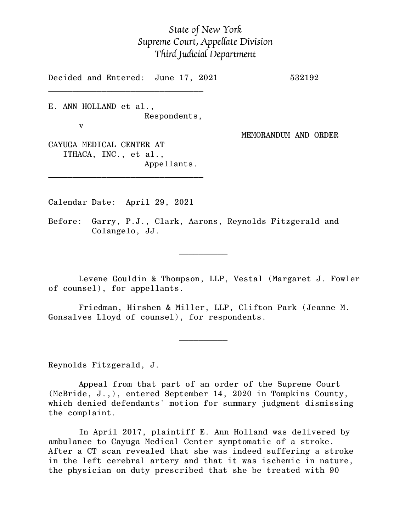## *State of New York Supreme Court, Appellate Division Third Judicial Department*

Decided and Entered: June 17, 2021 532192

E. ANN HOLLAND et al., Respondents,

 $\mathcal{L}_\text{max}$ 

v

MEMORANDUM AND ORDER

CAYUGA MEDICAL CENTER AT ITHACA, INC., et al., Appellants.

\_\_\_\_\_\_\_\_\_\_\_\_\_\_\_\_\_\_\_\_\_\_\_\_\_\_\_\_\_\_\_\_

Calendar Date: April 29, 2021

 $\mathcal{L}_\text{max}$  and  $\mathcal{L}_\text{max}$  are the set of  $\mathcal{L}_\text{max}$  . The set of  $\mathcal{L}_\text{max}$ 

 $\mathcal{L}_\text{max}$  and  $\mathcal{L}_\text{max}$  are the set of  $\mathcal{L}_\text{max}$  . The set of  $\mathcal{L}_\text{max}$ 

Before: Garry, P.J., Clark, Aarons, Reynolds Fitzgerald and Colangelo, JJ.

Levene Gouldin & Thompson, LLP, Vestal (Margaret J. Fowler of counsel), for appellants.

Friedman, Hirshen & Miller, LLP, Clifton Park (Jeanne M. Gonsalves Lloyd of counsel), for respondents.

Reynolds Fitzgerald, J.

Appeal from that part of an order of the Supreme Court (McBride, J.,), entered September 14, 2020 in Tompkins County, which denied defendants' motion for summary judgment dismissing the complaint.

In April 2017, plaintiff E. Ann Holland was delivered by ambulance to Cayuga Medical Center symptomatic of a stroke. After a CT scan revealed that she was indeed suffering a stroke in the left cerebral artery and that it was ischemic in nature, the physician on duty prescribed that she be treated with 90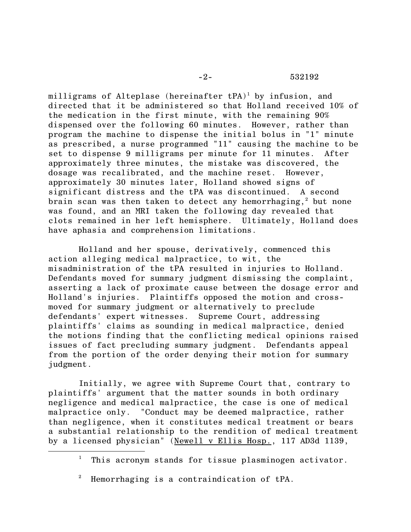milligrams of Alteplase (hereinafter  $tPA$ )<sup>1</sup> by infusion, and directed that it be administered so that Holland received 10% of the medication in the first minute, with the remaining 90% dispensed over the following 60 minutes. However, rather than program the machine to dispense the initial bolus in "1" minute as prescribed, a nurse programmed "11" causing the machine to be set to dispense 9 milligrams per minute for 11 minutes. After approximately three minutes, the mistake was discovered, the dosage was recalibrated, and the machine reset. However, approximately 30 minutes later, Holland showed signs of significant distress and the tPA was discontinued. A second brain scan was then taken to detect any hemorrhaging,  $2$  but none was found, and an MRI taken the following day revealed that clots remained in her left hemisphere. Ultimately, Holland does have aphasia and comprehension limitations.

Holland and her spouse, derivatively, commenced this action alleging medical malpractice, to wit, the misadministration of the tPA resulted in injuries to Holland. Defendants moved for summary judgment dismissing the complaint, asserting a lack of proximate cause between the dosage error and Holland's injuries. Plaintiffs opposed the motion and crossmoved for summary judgment or alternatively to preclude defendants' expert witnesses. Supreme Court, addressing plaintiffs' claims as sounding in medical malpractice, denied the motions finding that the conflicting medical opinions raised issues of fact precluding summary judgment. Defendants appeal from the portion of the order denying their motion for summary judgment.

Initially, we agree with Supreme Court that, contrary to plaintiffs' argument that the matter sounds in both ordinary negligence and medical malpractice, the case is one of medical malpractice only. "Conduct may be deemed malpractice, rather than negligence, when it constitutes medical treatment or bears a substantial relationship to the rendition of medical treatment by a licensed physician" (Newell v Ellis Hosp., 117 AD3d 1139,

<sup>&</sup>lt;sup>1</sup> This acronym stands for tissue plasminogen activator.

<sup>2</sup> Hemorrhaging is a contraindication of tPA.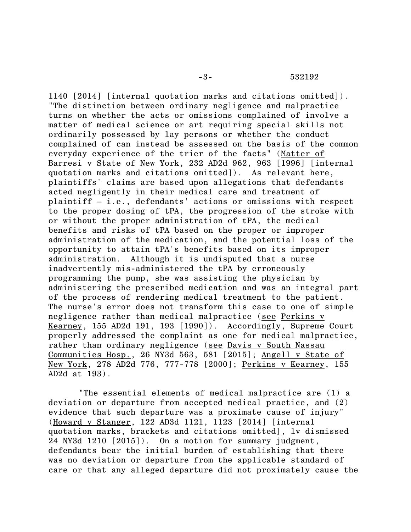1140 [2014] [internal quotation marks and citations omitted]). "The distinction between ordinary negligence and malpractice turns on whether the acts or omissions complained of involve a matter of medical science or art requiring special skills not ordinarily possessed by lay persons or whether the conduct complained of can instead be assessed on the basis of the common everyday experience of the trier of the facts" (Matter of Barresi v State of New York, 232 AD2d 962, 963 [1996] [internal quotation marks and citations omitted]). As relevant here, plaintiffs' claims are based upon allegations that defendants acted negligently in their medical care and treatment of plaintiff – i.e., defendants' actions or omissions with respect to the proper dosing of tPA, the progression of the stroke with or without the proper administration of tPA, the medical benefits and risks of tPA based on the proper or improper administration of the medication, and the potential loss of the opportunity to attain tPA's benefits based on its improper administration. Although it is undisputed that a nurse inadvertently mis-administered the tPA by erroneously programming the pump, she was assisting the physician by administering the prescribed medication and was an integral part of the process of rendering medical treatment to the patient. The nurse's error does not transform this case to one of simple negligence rather than medical malpractice (see Perkins v Kearney, 155 AD2d 191, 193 [1990]). Accordingly, Supreme Court properly addressed the complaint as one for medical malpractice, rather than ordinary negligence (see Davis v South Nassau Communities Hosp., 26 NY3d 563, 581 [2015]; Angell v State of New York, 278 AD2d 776, 777-778 [2000]; Perkins v Kearney, 155 AD2d at 193).

"The essential elements of medical malpractice are (1) a deviation or departure from accepted medical practice, and (2) evidence that such departure was a proximate cause of injury" (Howard v Stanger, 122 AD3d 1121, 1123 [2014] [internal quotation marks, brackets and citations omitted], <u>lv dismissed</u> 24 NY3d 1210 [2015]). On a motion for summary judgment, defendants bear the initial burden of establishing that there was no deviation or departure from the applicable standard of care or that any alleged departure did not proximately cause the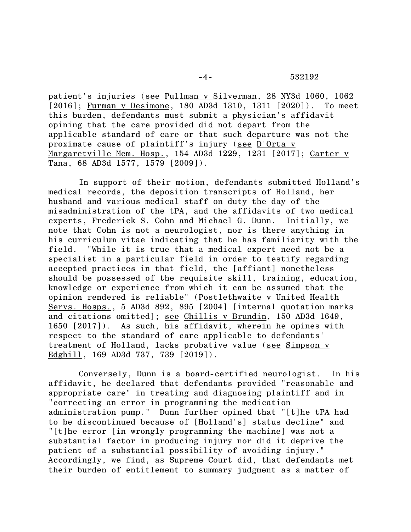patient's injuries (see Pullman v Silverman, 28 NY3d 1060, 1062 [2016]; Furman v Desimone, 180 AD3d 1310, 1311 [2020]). To meet this burden, defendants must submit a physician's affidavit opining that the care provided did not depart from the applicable standard of care or that such departure was not the proximate cause of plaintiff's injury (see D'Orta v Margaretville Mem. Hosp., 154 AD3d 1229, 1231 [2017]; Carter v Tana, 68 AD3d 1577, 1579 [2009]).

In support of their motion, defendants submitted Holland's medical records, the deposition transcripts of Holland, her husband and various medical staff on duty the day of the misadministration of the tPA, and the affidavits of two medical experts, Frederick S. Cohn and Michael G. Dunn. Initially, we note that Cohn is not a neurologist, nor is there anything in his curriculum vitae indicating that he has familiarity with the field. "While it is true that a medical expert need not be a specialist in a particular field in order to testify regarding accepted practices in that field, the [affiant] nonetheless should be possessed of the requisite skill, training, education, knowledge or experience from which it can be assumed that the opinion rendered is reliable" (Postlethwaite v United Health Servs. Hosps., 5 AD3d 892, 895 [2004] [internal quotation marks and citations omitted]; see Chillis v Brundin, 150 AD3d 1649, 1650 [2017]). As such, his affidavit, wherein he opines with respect to the standard of care applicable to defendants' treatment of Holland, lacks probative value (see Simpson v Edghill, 169 AD3d 737, 739 [2019]).

Conversely, Dunn is a board-certified neurologist. In his affidavit, he declared that defendants provided "reasonable and appropriate care" in treating and diagnosing plaintiff and in "correcting an error in programming the medication administration pump." Dunn further opined that "[t]he tPA had to be discontinued because of [Holland's] status decline" and "[t]he error [in wrongly programming the machine] was not a substantial factor in producing injury nor did it deprive the patient of a substantial possibility of avoiding injury." Accordingly, we find, as Supreme Court did, that defendants met their burden of entitlement to summary judgment as a matter of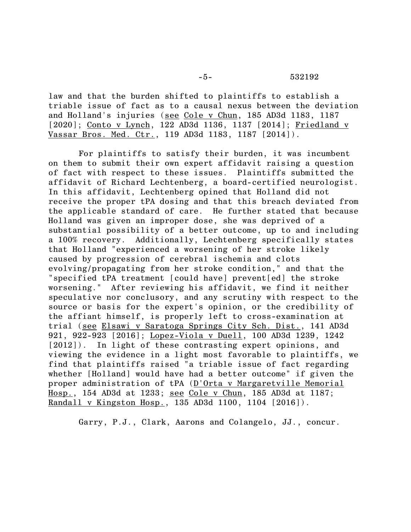-5- 532192

law and that the burden shifted to plaintiffs to establish a triable issue of fact as to a causal nexus between the deviation and Holland's injuries (see Cole v Chun, 185 AD3d 1183, 1187 [2020]; Conto v Lynch, 122 AD3d 1136, 1137 [2014]; Friedland v Vassar Bros. Med. Ctr., 119 AD3d 1183, 1187 [2014]).

For plaintiffs to satisfy their burden, it was incumbent on them to submit their own expert affidavit raising a question of fact with respect to these issues. Plaintiffs submitted the affidavit of Richard Lechtenberg, a board-certified neurologist. In this affidavit, Lechtenberg opined that Holland did not receive the proper tPA dosing and that this breach deviated from the applicable standard of care. He further stated that because Holland was given an improper dose, she was deprived of a substantial possibility of a better outcome, up to and including a 100% recovery. Additionally, Lechtenberg specifically states that Holland "experienced a worsening of her stroke likely caused by progression of cerebral ischemia and clots evolving/propagating from her stroke condition," and that the "specified tPA treatment [could have] prevent[ed] the stroke worsening." After reviewing his affidavit, we find it neither speculative nor conclusory, and any scrutiny with respect to the source or basis for the expert's opinion, or the credibility of the affiant himself, is properly left to cross-examination at trial (see Elsawi v Saratoga Springs City Sch. Dist., 141 AD3d 921, 922-923 [2016]; Lopez-Viola v Duell, 100 AD3d 1239, 1242 [2012]). In light of these contrasting expert opinions, and viewing the evidence in a light most favorable to plaintiffs, we find that plaintiffs raised "a triable issue of fact regarding whether [Holland] would have had a better outcome" if given the proper administration of tPA (D'Orta v Margaretville Memorial Hosp., 154 AD3d at 1233; see Cole v Chun, 185 AD3d at 1187; Randall v Kingston Hosp., 135 AD3d 1100, 1104 [2016]).

Garry, P.J., Clark, Aarons and Colangelo, JJ., concur.